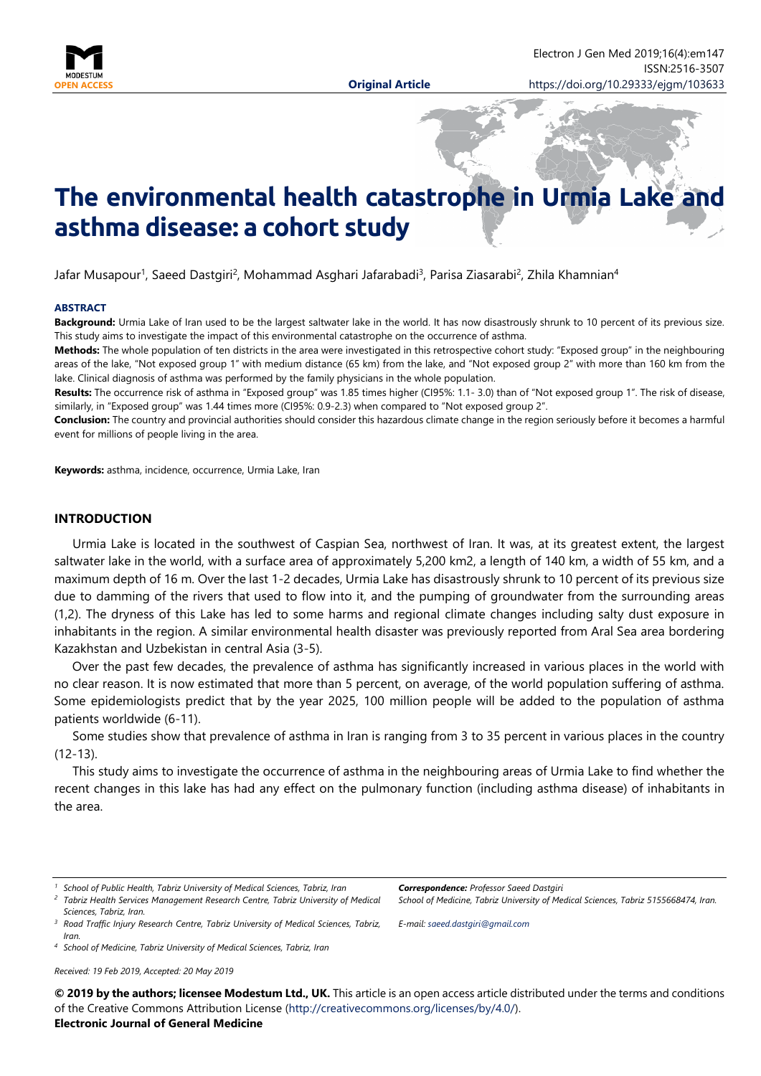

# **The environmental health catastrophe in Urmia Lake and asthma disease: a cohort study**

Jafar Musapour<sup>1</sup>, Saeed Dastgiri<sup>2</sup>, Mohammad Asghari Jafarabadi<sup>3</sup>, Parisa Ziasarabi<sup>2</sup>, Zhila Khamnian<sup>4</sup>

#### **ABSTRACT**

**Background:** Urmia Lake of Iran used to be the largest saltwater lake in the world. It has now disastrously shrunk to 10 percent of its previous size. This study aims to investigate the impact of this environmental catastrophe on the occurrence of asthma.

**Methods:** The whole population of ten districts in the area were investigated in this retrospective cohort study: "Exposed group" in the neighbouring areas of the lake, "Not exposed group 1" with medium distance (65 km) from the lake, and "Not exposed group 2" with more than 160 km from the lake. Clinical diagnosis of asthma was performed by the family physicians in the whole population.

**Results:** The occurrence risk of asthma in "Exposed group" was 1.85 times higher (CI95%: 1.1- 3.0) than of "Not exposed group 1". The risk of disease, similarly, in "Exposed group" was 1.44 times more (CI95%: 0.9-2.3) when compared to "Not exposed group 2".

**Conclusion:** The country and provincial authorities should consider this hazardous climate change in the region seriously before it becomes a harmful event for millions of people living in the area.

**Keywords:** asthma, incidence, occurrence, Urmia Lake, Iran

### **INTRODUCTION**

Urmia Lake is located in the southwest of Caspian Sea, northwest of Iran. It was, at its greatest extent, the largest saltwater lake in the world, with a surface area of approximately 5,200 km2, a length of 140 km, a width of 55 km, and a maximum depth of 16 m. Over the last 1-2 decades, Urmia Lake has disastrously shrunk to 10 percent of its previous size due to damming of the rivers that used to flow into it, and the pumping of groundwater from the surrounding areas (1,2). The dryness of this Lake has led to some harms and regional climate changes including salty dust exposure in inhabitants in the region. A similar environmental health disaster was previously reported from Aral Sea area bordering Kazakhstan and Uzbekistan in central Asia (3-5).

Over the past few decades, the prevalence of asthma has significantly increased in various places in the world with no clear reason. It is now estimated that more than 5 percent, on average, of the world population suffering of asthma. Some epidemiologists predict that by the year 2025, 100 million people will be added to the population of asthma patients worldwide (6-11).

Some studies show that prevalence of asthma in Iran is ranging from 3 to 35 percent in various places in the country (12-13).

This study aims to investigate the occurrence of asthma in the neighbouring areas of Urmia Lake to find whether the recent changes in this lake has had any effect on the pulmonary function (including asthma disease) of inhabitants in the area.

*<sup>4</sup> School of Medicine, Tabriz University of Medical Sciences, Tabriz, Iran*

*Received: 19 Feb 2019, Accepted: 20 May 2019*

*Correspondence: Professor Saeed Dastgiri*

*School of Medicine, Tabriz University of Medical Sciences, Tabriz 5155668474, Iran.*

*E-mail: [saeed.dastgiri@gmail.com](mailto:saeed.dastgiri@gmail.com)*

**© 2019 by the authors; licensee Modestum Ltd., UK.** This article is an open access article distributed under the terms and conditions of the Creative Commons Attribution License [\(http://creativecommons.org/licenses/by/4.0/\)](http://creativecommons.org/licenses/by/4.0/). **Electronic Journal of General Medicine**

*<sup>1</sup> School of Public Health, Tabriz University of Medical Sciences, Tabriz, Iran*

*<sup>2</sup> Tabriz Health Services Management Research Centre, Tabriz University of Medical Sciences, Tabriz, Iran.*

*<sup>3</sup> Road Traffic Injury Research Centre, Tabriz University of Medical Sciences, Tabriz, Iran.*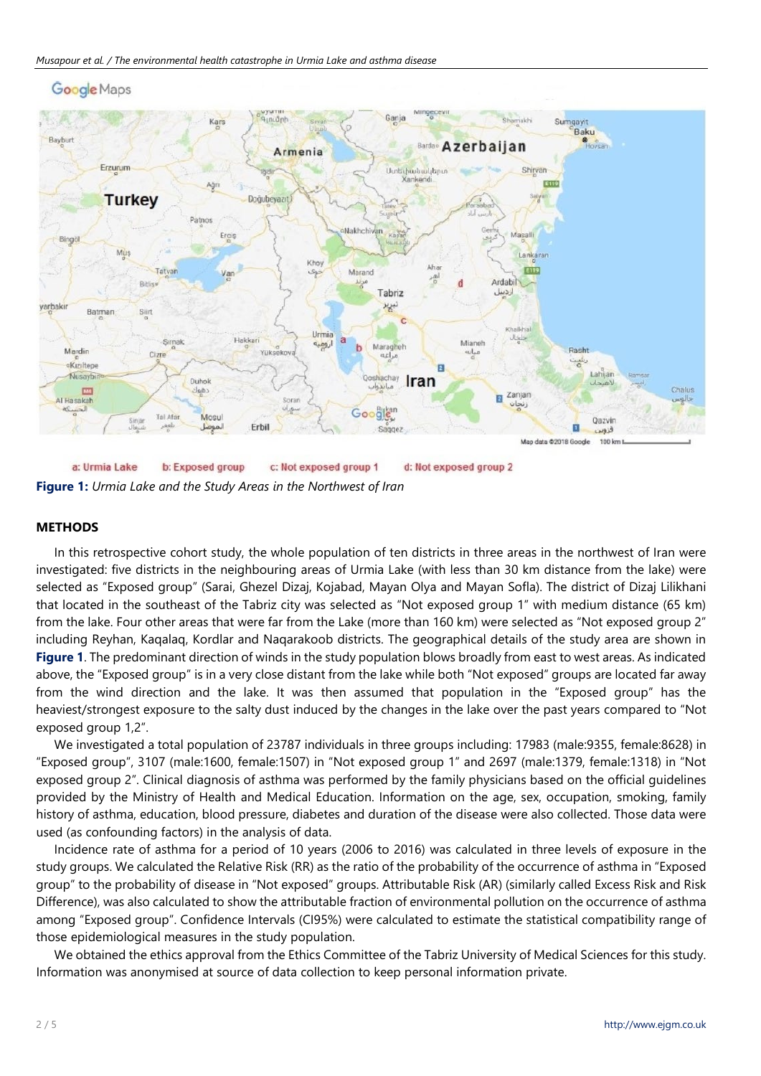

**Google Maps** 

a: Urmia Lake b: Exposed group c: Not exposed group 1 d: Not exposed group 2 **Figure 1:** *Urmia Lake and the Study Areas in the Northwest of Iran*

#### **METHODS**

In this retrospective cohort study, the whole population of ten districts in three areas in the northwest of Iran were investigated: five districts in the neighbouring areas of Urmia Lake (with less than 30 km distance from the lake) were selected as "Exposed group" (Sarai, Ghezel Dizaj, Kojabad, Mayan Olya and Mayan Sofla). The district of Dizaj Lilikhani that located in the southeast of the Tabriz city was selected as "Not exposed group 1" with medium distance (65 km) from the lake. Four other areas that were far from the Lake (more than 160 km) were selected as "Not exposed group 2" including Reyhan, Kaqalaq, Kordlar and Naqarakoob districts. The geographical details of the study area are shown in **Figure 1**. The predominant direction of winds in the study population blows broadly from east to west areas. As indicated above, the "Exposed group" is in a very close distant from the lake while both "Not exposed" groups are located far away from the wind direction and the lake. It was then assumed that population in the "Exposed group" has the heaviest/strongest exposure to the salty dust induced by the changes in the lake over the past years compared to "Not exposed group 1,2".

We investigated a total population of 23787 individuals in three groups including: 17983 (male:9355, female:8628) in "Exposed group", 3107 (male:1600, female:1507) in "Not exposed group 1" and 2697 (male:1379, female:1318) in "Not exposed group 2". Clinical diagnosis of asthma was performed by the family physicians based on the official guidelines provided by the Ministry of Health and Medical Education. Information on the age, sex, occupation, smoking, family history of asthma, education, blood pressure, diabetes and duration of the disease were also collected. Those data were used (as confounding factors) in the analysis of data.

Incidence rate of asthma for a period of 10 years (2006 to 2016) was calculated in three levels of exposure in the study groups. We calculated the Relative Risk (RR) as the ratio of the probability of the occurrence of asthma in "Exposed group" to the probability of disease in "Not exposed" groups. Attributable Risk (AR) (similarly called Excess Risk and Risk Difference), was also calculated to show the attributable fraction of environmental pollution on the occurrence of asthma among "Exposed group". Confidence Intervals (CI95%) were calculated to estimate the statistical compatibility range of those epidemiological measures in the study population.

We obtained the ethics approval from the Ethics Committee of the Tabriz University of Medical Sciences for this study. Information was anonymised at source of data collection to keep personal information private.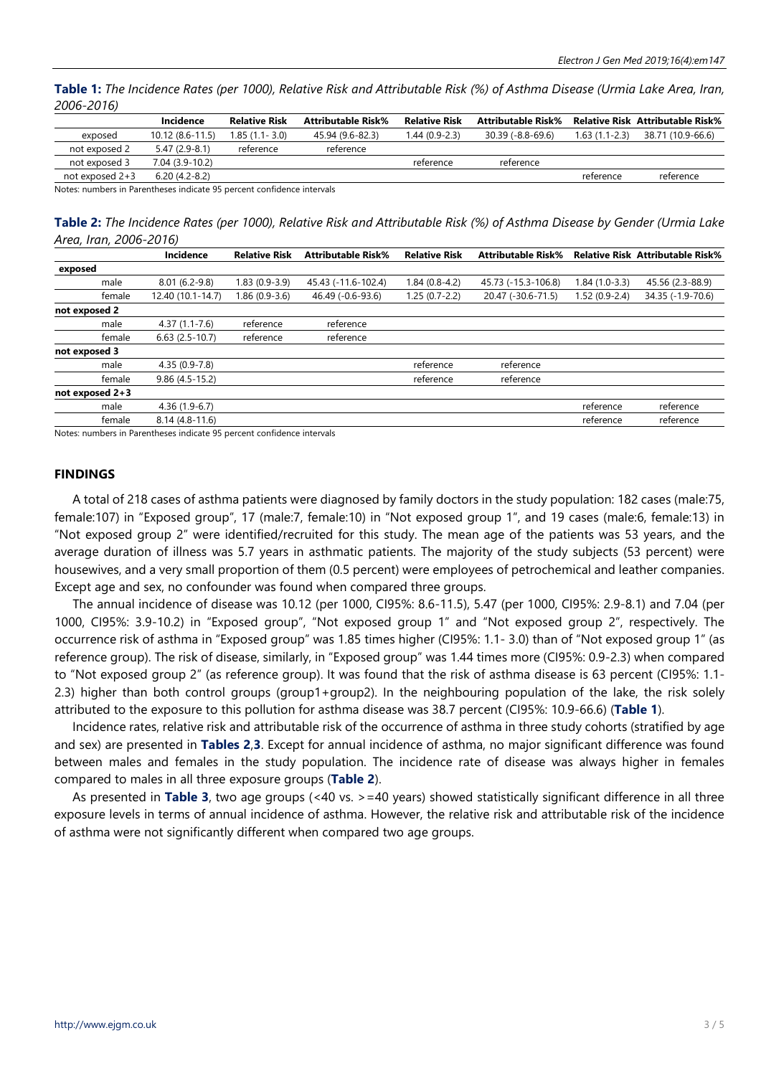Table 1: The Incidence Rates (per 1000), Relative Risk and Attributable Risk (%) of Asthma Disease (Urmia Lake Area, Iran, *2006-2016)*

|                 | Incidence           | <b>Relative Risk</b> | <b>Attributable Risk%</b> | <b>Relative Risk</b> | <b>Attributable Risk%</b> |                | <b>Relative Risk Attributable Risk%</b> |
|-----------------|---------------------|----------------------|---------------------------|----------------------|---------------------------|----------------|-----------------------------------------|
| exposed         | $10.12(8.6 - 11.5)$ | 1.85 (1.1- 3.0)      | 45.94 (9.6-82.3)          | $1.44(0.9-2.3)$      | 30.39 (-8.8-69.6)         | 1.63 (1.1-2.3) | 38.71 (10.9-66.6)                       |
| not exposed 2   | $5.47(2.9-8.1)$     | reference            | reference                 |                      |                           |                |                                         |
| not exposed 3   | 7.04 (3.9-10.2)     |                      |                           | reference            | reference                 |                |                                         |
| not exposed 2+3 | $6.20(4.2-8.2)$     |                      |                           |                      |                           | reference      | reference                               |
|                 |                     |                      |                           |                      |                           |                |                                         |

Notes: numbers in Parentheses indicate 95 percent confidence intervals

Table 2: The Incidence Rates (per 1000), Relative Risk and Attributable Risk (%) of Asthma Disease by Gender (Urmia Lake *Area, Iran, 2006-2016)*

|                   | Incidence         | <b>Relative Risk</b> | <b>Attributable Risk%</b> | <b>Relative Risk</b> | <b>Attributable Risk%</b> |                | <b>Relative Risk Attributable Risk%</b> |
|-------------------|-------------------|----------------------|---------------------------|----------------------|---------------------------|----------------|-----------------------------------------|
| exposed           |                   |                      |                           |                      |                           |                |                                         |
| male              | $8.01(6.2-9.8)$   | $1.83(0.9-3.9)$      | 45.43 (-11.6-102.4)       | $1.84(0.8-4.2)$      | 45.73 (-15.3-106.8)       | 1.84 (1.0-3.3) | 45.56 (2.3-88.9)                        |
| female            | 12.40 (10.1-14.7) | $1.86(0.9-3.6)$      | 46.49 (-0.6-93.6)         | $1.25(0.7-2.2)$      | 20.47 (-30.6-71.5)        | 1.52 (0.9-2.4) | 34.35 (-1.9-70.6)                       |
| not exposed 2     |                   |                      |                           |                      |                           |                |                                         |
| male              | $4.37(1.1 - 7.6)$ | reference            | reference                 |                      |                           |                |                                         |
| female            | $6.63(2.5-10.7)$  | reference            | reference                 |                      |                           |                |                                         |
| not exposed 3     |                   |                      |                           |                      |                           |                |                                         |
| male              | $4.35(0.9-7.8)$   |                      |                           | reference            | reference                 |                |                                         |
| female            | $9.86(4.5-15.2)$  |                      |                           | reference            | reference                 |                |                                         |
| not exposed $2+3$ |                   |                      |                           |                      |                           |                |                                         |
| male              | $4.36(1.9-6.7)$   |                      |                           |                      |                           | reference      | reference                               |
| female            | $8.14(4.8-11.6)$  |                      |                           |                      |                           | reference      | reference                               |
|                   |                   |                      |                           |                      |                           |                |                                         |

Notes: numbers in Parentheses indicate 95 percent confidence intervals

#### **FINDINGS**

A total of 218 cases of asthma patients were diagnosed by family doctors in the study population: 182 cases (male:75, female:107) in "Exposed group", 17 (male:7, female:10) in "Not exposed group 1", and 19 cases (male:6, female:13) in "Not exposed group 2" were identified/recruited for this study. The mean age of the patients was 53 years, and the average duration of illness was 5.7 years in asthmatic patients. The majority of the study subjects (53 percent) were housewives, and a very small proportion of them (0.5 percent) were employees of petrochemical and leather companies. Except age and sex, no confounder was found when compared three groups.

The annual incidence of disease was 10.12 (per 1000, CI95%: 8.6-11.5), 5.47 (per 1000, CI95%: 2.9-8.1) and 7.04 (per 1000, CI95%: 3.9-10.2) in "Exposed group", "Not exposed group 1" and "Not exposed group 2", respectively. The occurrence risk of asthma in "Exposed group" was 1.85 times higher (CI95%: 1.1- 3.0) than of "Not exposed group 1" (as reference group). The risk of disease, similarly, in "Exposed group" was 1.44 times more (CI95%: 0.9-2.3) when compared to "Not exposed group 2" (as reference group). It was found that the risk of asthma disease is 63 percent (CI95%: 1.1- 2.3) higher than both control groups (group1+group2). In the neighbouring population of the lake, the risk solely attributed to the exposure to this pollution for asthma disease was 38.7 percent (CI95%: 10.9-66.6) (**Table 1**).

Incidence rates, relative risk and attributable risk of the occurrence of asthma in three study cohorts (stratified by age and sex) are presented in **Tables 2**,**3**. Except for annual incidence of asthma, no major significant difference was found between males and females in the study population. The incidence rate of disease was always higher in females compared to males in all three exposure groups (**Table 2**).

As presented in **Table 3**, two age groups (<40 vs. >=40 years) showed statistically significant difference in all three exposure levels in terms of annual incidence of asthma. However, the relative risk and attributable risk of the incidence of asthma were not significantly different when compared two age groups.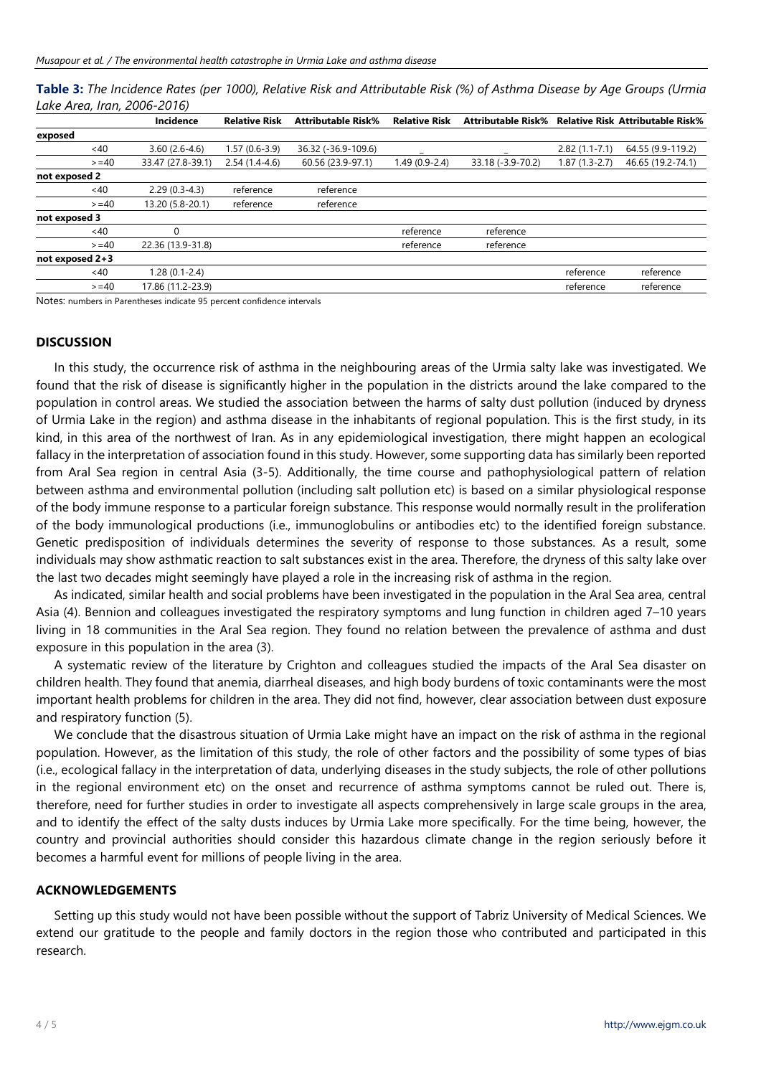|                             | Table 3: The Incidence Rates (per 1000), Relative Risk and Attributable Risk (%) of Asthma Disease by Age Groups (Urmia |
|-----------------------------|-------------------------------------------------------------------------------------------------------------------------|
| Lake Area, Iran, 2006-2016) |                                                                                                                         |

|                   | Incidence         | <b>Relative Risk</b> | <b>Attributable Risk%</b> | <b>Relative Risk</b> | <b>Attributable Risk%</b> |                   | <b>Relative Risk Attributable Risk%</b> |
|-------------------|-------------------|----------------------|---------------------------|----------------------|---------------------------|-------------------|-----------------------------------------|
| exposed           |                   |                      |                           |                      |                           |                   |                                         |
| $~<$ 40           | $3.60(2.6-4.6)$   | $1.57(0.6-3.9)$      | 36.32 (-36.9-109.6)       |                      |                           | $2.82(1.1 - 7.1)$ | 64.55 (9.9-119.2)                       |
| $>= 40$           | 33.47 (27.8-39.1) | $2.54(1.4-4.6)$      | 60.56 (23.9-97.1)         | $1.49(0.9-2.4)$      | 33.18 (-3.9-70.2)         | 1.87 (1.3-2.7)    | 46.65 (19.2-74.1)                       |
| not exposed 2     |                   |                      |                           |                      |                           |                   |                                         |
| <40               | $2.29(0.3-4.3)$   | reference            | reference                 |                      |                           |                   |                                         |
| $>= 40$           | 13.20 (5.8-20.1)  | reference            | reference                 |                      |                           |                   |                                         |
| not exposed 3     |                   |                      |                           |                      |                           |                   |                                         |
| <40               |                   |                      |                           | reference            | reference                 |                   |                                         |
| $>= 40$           | 22.36 (13.9-31.8) |                      |                           | reference            | reference                 |                   |                                         |
| not exposed $2+3$ |                   |                      |                           |                      |                           |                   |                                         |
| $~<$ 40           | $1.28(0.1-2.4)$   |                      |                           |                      |                           | reference         | reference                               |
| $>= 40$           | 17.86 (11.2-23.9) |                      |                           |                      |                           | reference         | reference                               |

Notes: numbers in Parentheses indicate 95 percent confidence intervals

### **DISCUSSION**

In this study, the occurrence risk of asthma in the neighbouring areas of the Urmia salty lake was investigated. We found that the risk of disease is significantly higher in the population in the districts around the lake compared to the population in control areas. We studied the association between the harms of salty dust pollution (induced by dryness of Urmia Lake in the region) and asthma disease in the inhabitants of regional population. This is the first study, in its kind, in this area of the northwest of Iran. As in any epidemiological investigation, there might happen an ecological fallacy in the interpretation of association found in this study. However, some supporting data has similarly been reported from Aral Sea region in central Asia (3-5). Additionally, the time course and pathophysiological pattern of relation between asthma and environmental pollution (including salt pollution etc) is based on a similar physiological response of the body immune response to a particular foreign substance. This response would normally result in the proliferation of the body immunological productions (i.e., immunoglobulins or antibodies etc) to the identified foreign substance. Genetic predisposition of individuals determines the severity of response to those substances. As a result, some individuals may show asthmatic reaction to salt substances exist in the area. Therefore, the dryness of this salty lake over the last two decades might seemingly have played a role in the increasing risk of asthma in the region.

As indicated, similar health and social problems have been investigated in the population in the Aral Sea area, central Asia (4). Bennion and colleagues investigated the respiratory symptoms and lung function in children aged 7–10 years living in 18 communities in the Aral Sea region. They found no relation between the prevalence of asthma and dust exposure in this population in the area (3).

A systematic review of the literature by Crighton and colleagues studied the impacts of the Aral Sea disaster on children health. They found that anemia, diarrheal diseases, and high body burdens of toxic contaminants were the most important health problems for children in the area. They did not find, however, clear association between dust exposure and respiratory function (5).

We conclude that the disastrous situation of Urmia Lake might have an impact on the risk of asthma in the regional population. However, as the limitation of this study, the role of other factors and the possibility of some types of bias (i.e., ecological fallacy in the interpretation of data, underlying diseases in the study subjects, the role of other pollutions in the regional environment etc) on the onset and recurrence of asthma symptoms cannot be ruled out. There is, therefore, need for further studies in order to investigate all aspects comprehensively in large scale groups in the area, and to identify the effect of the salty dusts induces by Urmia Lake more specifically. For the time being, however, the country and provincial authorities should consider this hazardous climate change in the region seriously before it becomes a harmful event for millions of people living in the area.

## **ACKNOWLEDGEMENTS**

Setting up this study would not have been possible without the support of Tabriz University of Medical Sciences. We extend our gratitude to the people and family doctors in the region those who contributed and participated in this research.